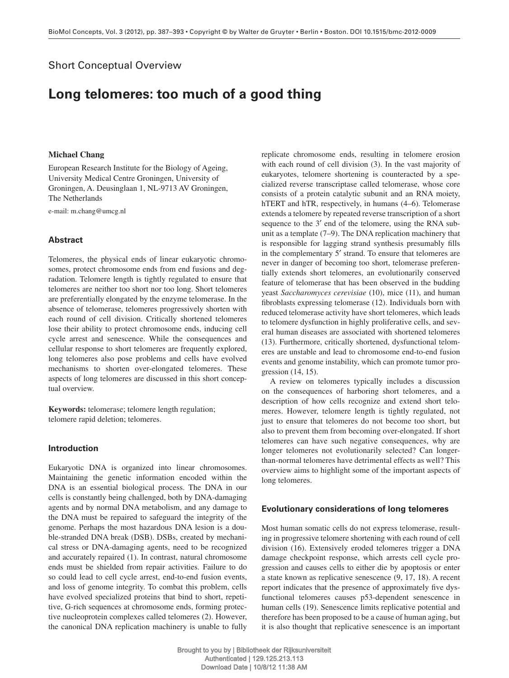# Short Conceptual Overview

# **Long telomeres: too much of a good thing**

## **Michael Chang**

European Research Institute for the Biology of Ageing, University Medical Centre Groningen, University of Groningen, A. Deusinglaan 1, NL-9713 AV Groningen, The Netherlands

e-mail: m.chang@umcg.nl

# **Abstract**

 Telomeres, the physical ends of linear eukaryotic chromosomes, protect chromosome ends from end fusions and degradation. Telomere length is tightly regulated to ensure that telomeres are neither too short nor too long. Short telomeres are preferentially elongated by the enzyme telomerase. In the absence of telomerase, telomeres progressively shorten with each round of cell division. Critically shortened telomeres lose their ability to protect chromosome ends, inducing cell cycle arrest and senescence. While the consequences and cellular response to short telomeres are frequently explored, long telomeres also pose problems and cells have evolved mechanisms to shorten over-elongated telomeres. These aspects of long telomeres are discussed in this short conceptual overview.

**Keywords:** telomerase; telomere length regulation; telomere rapid deletion; telomeres.

# **Introduction**

 Eukaryotic DNA is organized into linear chromosomes. Maintaining the genetic information encoded within the DNA is an essential biological process. The DNA in our cells is constantly being challenged, both by DNA-damaging agents and by normal DNA metabolism, and any damage to the DNA must be repaired to safeguard the integrity of the genome. Perhaps the most hazardous DNA lesion is a double-stranded DNA break (DSB). DSBs, created by mechanical stress or DNA-damaging agents, need to be recognized and accurately repaired (1). In contrast, natural chromosome ends must be shielded from repair activities. Failure to do so could lead to cell cycle arrest, end-to-end fusion events, and loss of genome integrity. To combat this problem, cells have evolved specialized proteins that bind to short, repetitive, G-rich sequences at chromosome ends, forming protective nucleoprotein complexes called telomeres (2). However, the canonical DNA replication machinery is unable to fully

replicate chromosome ends, resulting in telomere erosion with each round of cell division (3). In the vast majority of eukaryotes, telomere shortening is counteracted by a specialized reverse transcriptase called telomerase, whose core consists of a protein catalytic subunit and an RNA moiety, hTERT and hTR, respectively, in humans (4–6). Telomerase extends a telomere by repeated reverse transcription of a short sequence to the  $3'$  end of the telomere, using the RNA subunit as a template  $(7-9)$ . The DNA replication machinery that is responsible for lagging strand synthesis presumably fills in the complementary 5' strand. To ensure that telomeres are never in danger of becoming too short, telomerase preferentially extends short telomeres, an evolutionarily conserved feature of telomerase that has been observed in the budding yeast *Saccharomyces cerevisiae* (10), mice (11), and human fibroblasts expressing telomerase (12). Individuals born with reduced telomerase activity have short telomeres, which leads to telomere dysfunction in highly proliferative cells, and several human diseases are associated with shortened telomeres (13) . Furthermore, critically shortened, dysfunctional telomeres are unstable and lead to chromosome end-to-end fusion events and genome instability, which can promote tumor progression (14, 15) .

 A review on telomeres typically includes a discussion on the consequences of harboring short telomeres, and a description of how cells recognize and extend short telomeres. However, telomere length is tightly regulated, not just to ensure that telomeres do not become too short, but also to prevent them from becoming over-elongated. If short telomeres can have such negative consequences, why are longer telomeres not evolutionarily selected? Can longerthan-normal telomeres have detrimental effects as well? This overview aims to highlight some of the important aspects of long telomeres.

## **Evolutionary considerations of long telomeres**

 Most human somatic cells do not express telomerase, resulting in progressive telomere shortening with each round of cell division (16). Extensively eroded telomeres trigger a DNA damage checkpoint response, which arrests cell cycle progression and causes cells to either die by apoptosis or enter a state known as replicative senescence (9, 17, 18) . A recent report indicates that the presence of approximately five dysfunctional telomeres causes p53-dependent senescence in human cells (19). Senescence limits replicative potential and therefore has been proposed to be a cause of human aging, but it is also thought that replicative senescence is an important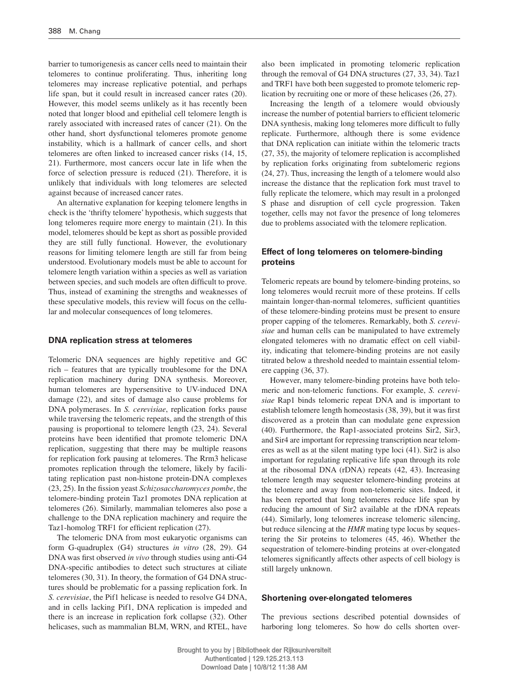barrier to tumorigenesis as cancer cells need to maintain their telomeres to continue proliferating. Thus, inheriting long telomeres may increase replicative potential, and perhaps life span, but it could result in increased cancer rates (20). However, this model seems unlikely as it has recently been noted that longer blood and epithelial cell telomere length is rarely associated with increased rates of cancer (21). On the other hand, short dysfunctional telomeres promote genome instability, which is a hallmark of cancer cells, and short telomeres are often linked to increased cancer risks (14, 15, 21) . Furthermore, most cancers occur late in life when the force of selection pressure is reduced (21). Therefore, it is unlikely that individuals with long telomeres are selected against because of increased cancer rates.

 An alternative explanation for keeping telomere lengths in check is the 'thrifty telomere' hypothesis, which suggests that long telomeres require more energy to maintain (21). In this model, telomeres should be kept as short as possible provided they are still fully functional. However, the evolutionary reasons for limiting telomere length are still far from being understood. Evolutionary models must be able to account for telomere length variation within a species as well as variation between species, and such models are often difficult to prove. Thus, instead of examining the strengths and weaknesses of these speculative models, this review will focus on the cellular and molecular consequences of long telomeres.

## **DNA replication stress at telomeres**

 Telomeric DNA sequences are highly repetitive and GC rich – features that are typically troublesome for the DNA replication machinery during DNA synthesis. Moreover, human telomeres are hypersensitive to UV-induced DNA damage (22), and sites of damage also cause problems for DNA polymerases. In *S. cerevisiae*, replication forks pause while traversing the telomeric repeats, and the strength of this pausing is proportional to telomere length (23, 24) . Several proteins have been identified that promote telomeric DNA replication, suggesting that there may be multiple reasons for replication fork pausing at telomeres. The Rrm3 helicase promotes replication through the telomere, likely by facilitating replication past non-histone protein-DNA complexes (23, 25). In the fission yeast *Schizosaccharomyces pombe*, the telomere-binding protein Taz1 promotes DNA replication at telomeres (26) . Similarly, mammalian telomeres also pose a challenge to the DNA replication machinery and require the Taz1-homolog TRF1 for efficient replication (27).

 The telomeric DNA from most eukaryotic organisms can form G-quadruplex (G4) structures *in vitro* (28, 29). G4 DNA was first observed *in vivo* through studies using anti-G4 DNA-specific antibodies to detect such structures at ciliate telomeres (30, 31) . In theory, the formation of G4 DNA structures should be problematic for a passing replication fork. In *S. cerevisiae* , the Pif1 helicase is needed to resolve G4 DNA, and in cells lacking Pif1, DNA replication is impeded and there is an increase in replication fork collapse (32) . Other helicases, such as mammalian BLM, WRN, and RTEL, have

also been implicated in promoting telomeric replication through the removal of G4 DNA structures (27, 33, 34) . Taz1 and TRF1 have both been suggested to promote telomeric replication by recruiting one or more of these helicases (26, 27) .

 Increasing the length of a telomere would obviously increase the number of potential barriers to efficient telomeric DNA synthesis, making long telomeres more difficult to fully replicate. Furthermore, although there is some evidence that DNA replication can initiate within the telomeric tracts (27, 35) , the majority of telomere replication is accomplished by replication forks originating from subtelomeric regions (24, 27) . Thus, increasing the length of a telomere would also increase the distance that the replication fork must travel to fully replicate the telomere, which may result in a prolonged S phase and disruption of cell cycle progression. Taken together, cells may not favor the presence of long telomeres due to problems associated with the telomere replication.

# **Effect of long telomeres on telomere-binding proteins**

 Telomeric repeats are bound by telomere-binding proteins, so long telomeres would recruit more of these proteins. If cells maintain longer-than-normal telomeres, sufficient quantities of these telomere-binding proteins must be present to ensure proper capping of the telomeres. Remarkably, both *S. cerevisiae* and human cells can be manipulated to have extremely elongated telomeres with no dramatic effect on cell viability, indicating that telomere-binding proteins are not easily titrated below a threshold needed to maintain essential telomere capping (36, 37) .

 However, many telomere-binding proteins have both telomeric and non-telomeric functions. For example, *S. cerevisiae* Rap1 binds telomeric repeat DNA and is important to establish telomere length homeostasis (38, 39), but it was first discovered as a protein than can modulate gene expression (40) . Furthermore, the Rap1-associated proteins Sir2, Sir3, and Sir4 are important for repressing transcription near telomeres as well as at the silent mating type loci (41) . Sir2 is also important for regulating replicative life span through its role at the ribosomal DNA (rDNA) repeats (42, 43) . Increasing telomere length may sequester telomere-binding proteins at the telomere and away from non-telomeric sites. Indeed, it has been reported that long telomeres reduce life span by reducing the amount of Sir2 available at the rDNA repeats (44) . Similarly, long telomeres increase telomeric silencing, but reduce silencing at the *HMR* mating type locus by sequestering the Sir proteins to telomeres (45, 46) . Whether the sequestration of telomere-binding proteins at over-elongated telomeres significantly affects other aspects of cell biology is still largely unknown.

#### **Shortening over-elongated telomeres**

 The previous sections described potential downsides of harboring long telomeres. So how do cells shorten over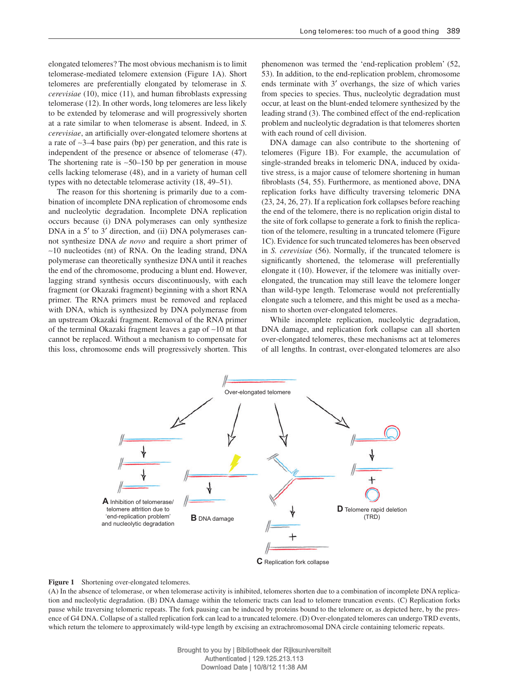elongated telomeres ? The most obvious mechanism is to limit telomerase-mediated telomere extension (Figure 1 A). Short telomeres are preferentially elongated by telomerase in *S. cerevisiae* (10), mice (11), and human fibroblasts expressing telomerase (12) . In other words, long telomeres are less likely to be extended by telomerase and will progressively shorten at a rate similar to when telomerase is absent. Indeed, in *S. cerevisiae*, an artificially over-elongated telomere shortens at a rate of ∼3–4 base pairs (bp) per generation, and this rate is independent of the presence or absence of telomerase  $(47)$ . The shortening rate is ~50–150 bp per generation in mouse cells lacking telomerase (48) , and in a variety of human cell types with no detectable telomerase activity (18, 49–51).

 The reason for this shortening is primarily due to a combination of incomplete DNA replication of chromosome ends and nucleolytic degradation. Incomplete DNA replication occurs because (i) DNA polymerases can only synthesize DNA in a 5' to 3' direction, and (ii) DNA polymerases cannot synthesize DNA *de novo* and require a short primer of ∼ 10 nucleotides (nt) of RNA. On the leading strand, DNA polymerase can theoretically synthesize DNA until it reaches the end of the chromosome, producing a blunt end. However, lagging strand synthesis occurs discontinuously, with each fragment (or Okazaki fragment) beginning with a short RNA primer. The RNA primers must be removed and replaced with DNA, which is synthesized by DNA polymerase from an upstream Okazaki fragment. Removal of the RNA primer of the terminal Okazaki fragment leaves a gap of ∼ 10 nt that cannot be replaced. Without a mechanism to compensate for this loss, chromosome ends will progressively shorten. This

phenomenon was termed the 'end-replication problem' (52, 53) . In addition, to the end-replication problem, chromosome ends terminate with  $3'$  overhangs, the size of which varies from species to species. Thus, nucleolytic degradation must occur, at least on the blunt-ended telomere synthesized by the leading strand (3) . The combined effect of the end-replication problem and nucleolytic degradation is that telomeres shorten with each round of cell division.

 DNA damage can also contribute to the shortening of telomeres (Figure 1B). For example, the accumulation of single-stranded breaks in telomeric DNA, induced by oxidative stress, is a major cause of telomere shortening in human fibroblasts (54, 55). Furthermore, as mentioned above, DNA replication forks have difficulty traversing telomeric DNA (23, 24, 26, 27) . If a replication fork collapses before reaching the end of the telomere, there is no replication origin distal to the site of fork collapse to generate a fork to finish the replication of the telomere, resulting in a truncated telomere (Figure 1C). Evidence for such truncated telomeres has been observed in *S. cerevisiae* (56) . Normally, if the truncated telomere is significantly shortened, the telomerase will preferentially elongate it (10). However, if the telomere was initially overelongated, the truncation may still leave the telomere longer than wild-type length. Telomerase would not preferentially elongate such a telomere, and this might be used as a mechanism to shorten over-elongated telomeres.

 While incomplete replication, nucleolytic degradation, DNA damage, and replication fork collapse can all shorten over-elongated telomeres, these mechanisms act at telomeres of all lengths. In contrast, over-elongated telomeres are also



#### **Figure 1** Shortening over-elongated telomeres.

 (A) In the absence of telomerase, or when telomerase activity is inhibited, telomeres shorten due to a combination of incomplete DNA replication and nucleolytic degradation. (B) DNA damage within the telomeric tracts can lead to telomere truncation events. (C) Replication forks pause while traversing telomeric repeats. The fork pausing can be induced by proteins bound to the telomere or, as depicted here, by the presence of G4 DNA. Collapse of a stalled replication fork can lead to a truncated telomere. (D) Over-elongated telomeres can undergo TRD events, which return the telomere to approximately wild-type length by excising an extrachromosomal DNA circle containing telomeric repeats.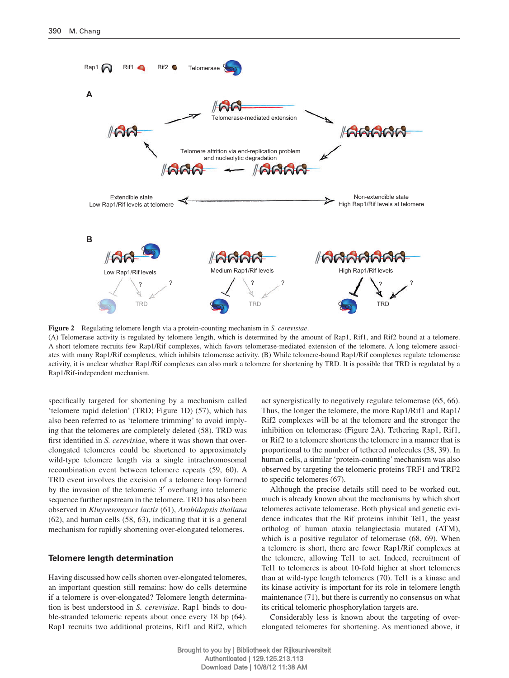

**Figure 2** Regulating telomere length via a protein-counting mechanism in *S. cerevisiae* . (A) Telomerase activity is regulated by telomere length, which is determined by the amount of Rap1, Rif1, and Rif2 bound at a telomere. A short telomere recruits few Rap1/Rif complexes, which favors telomerase-mediated extension of the telomere. A long telomere associates with many Rap1/Rif complexes, which inhibits telomerase activity. (B) While telomere-bound Rap1/Rif complexes regulate telomerase activity, it is unclear whether Rap1/Rif complexes can also mark a telomere for shortening by TRD. It is possible that TRD is regulated by a Rap1/Rif-independent mechanism.

specifically targeted for shortening by a mechanism called 'telomere rapid deletion' (TRD; Figure 1D) (57), which has also been referred to as 'telomere trimming' to avoid implying that the telomeres are completely deleted (58) . TRD was first identified in *S. cerevisiae*, where it was shown that overelongated telomeres could be shortened to approximately wild-type telomere length via a single intrachromosomal recombination event between telomere repeats (59, 60). A TRD event involves the excision of a telomere loop formed by the invasion of the telomeric  $3'$  overhang into telomeric sequence further upstream in the telomere. TRD has also been observed in *Kluyveromyces lactis* (61) , *Arabidopsis thaliana*  $(62)$ , and human cells  $(58, 63)$ , indicating that it is a general mechanism for rapidly shortening over-elongated telomeres.

## **Telomere length determination**

 Having discussed how cells shorten over-elongated telomeres, an important question still remains: how do cells determine if a telomere is over-elongated? Telomere length determination is best understood in *S. cerevisiae* . Rap1 binds to double-stranded telomeric repeats about once every 18 bp (64). Rap1 recruits two additional proteins, Rif1 and Rif2, which act synergistically to negatively regulate telomerase (65, 66) . Thus, the longer the telomere, the more Rap1/Rif1 and Rap1/ Rif2 complexes will be at the telomere and the stronger the inhibition on telomerase (Figure 2A). Tethering Rap1, Rif1, or Rif2 to a telomere shortens the telomere in a manner that is proportional to the number of tethered molecules (38, 39) . In human cells, a similar 'protein-counting' mechanism was also observed by targeting the telomeric proteins TRF1 and TRF2 to specific telomeres  $(67)$ .

 Although the precise details still need to be worked out, much is already known about the mechanisms by which short telomeres activate telomerase. Both physical and genetic evidence indicates that the Rif proteins inhibit Tel1, the yeast ortholog of human ataxia telangiectasia mutated (ATM), which is a positive regulator of telomerase (68, 69). When a telomere is short, there are fewer Rap1/Rif complexes at the telomere, allowing Tel1 to act. Indeed, recruitment of Tel1 to telomeres is about 10-fold higher at short telomeres than at wild-type length telomeres (70) . Tel1 is a kinase and its kinase activity is important for its role in telomere length maintenance  $(71)$ , but there is currently no consensus on what its critical telomeric phosphorylation targets are.

 Considerably less is known about the targeting of overelongated telomeres for shortening. As mentioned above, it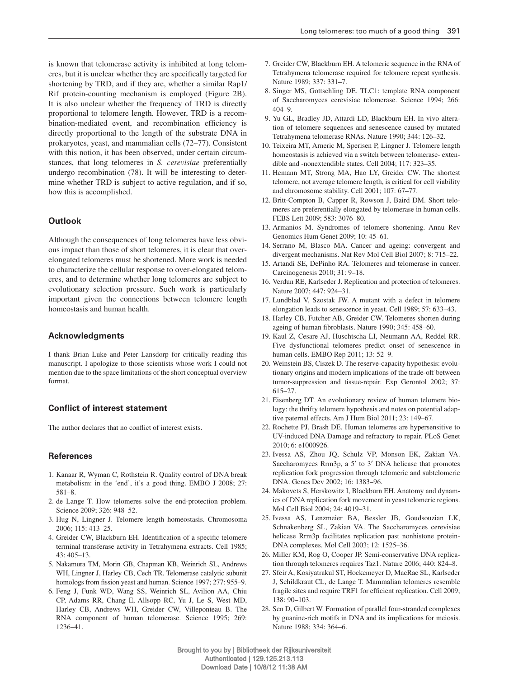is known that telomerase activity is inhibited at long telomeres, but it is unclear whether they are specifically targeted for shortening by TRD, and if they are, whether a similar Rap1/ Rif protein-counting mechanism is employed (Figure 2B). It is also unclear whether the frequency of TRD is directly proportional to telomere length. However, TRD is a recombination-mediated event, and recombination efficiency is directly proportional to the length of the substrate DNA in prokaryotes, yeast, and mammalian cells (72–77). Consistent with this notion, it has been observed, under certain circumstances, that long telomeres in *S. cerevisiae* preferentially undergo recombination (78). It will be interesting to determine whether TRD is subject to active regulation, and if so, how this is accomplished.

# **Outlook**

 Although the consequences of long telomeres have less obvious impact than those of short telomeres, it is clear that overelongated telomeres must be shortened. More work is needed to characterize the cellular response to over-elongated telomeres, and to determine whether long telomeres are subject to evolutionary selection pressure. Such work is particularly important given the connections between telomere length homeostasis and human health.

## **Acknowledgments**

 I thank Brian Luke and Peter Lansdorp for critically reading this manuscript. I apologize to those scientists whose work I could not mention due to the space limitations of the short conceptual overview format.

# **Conflict of interest statement**

The author declares that no conflict of interest exists.

## **References**

- 1. Kanaar R, Wyman C, Rothstein R. Quality control of DNA break metabolism: in the 'end', it's a good thing. EMBO J 2008; 27:  $581 - 8.$
- 2. de Lange T. How telomeres solve the end-protection problem. Science 2009; 326: 948-52.
- 3. Hug N, Lingner J. Telomere length homeostasis. Chromosoma 2006; 115: 413-25.
- 4. Greider CW, Blackburn EH. Identification of a specific telomere terminal transferase activity in Tetrahymena extracts. Cell 1985; 43: 405 – 13.
- 5. Nakamura TM, Morin GB, Chapman KB, Weinrich SL, Andrews WH, Lingner J, Harley CB, Cech TR. Telomerase catalytic subunit homologs from fission yeast and human. Science 1997; 277: 955-9.
- 6. Feng J, Funk WD, Wang SS, Weinrich SL, Avilion AA, Chiu CP, Adams RR, Chang E, Allsopp RC, Yu J, Le S, West MD, Harley CB, Andrews WH, Greider CW, Villeponteau B. The RNA component of human telomerase. Science 1995; 269:  $1236 - 41$ .
- 7. Greider CW, Blackburn EH. A telomeric sequence in the RNA of Tetrahymena telomerase required for telomere repeat synthesis. Nature 1989; 337: 331-7.
- 8. Singer MS, Gottschling DE. TLC1: template RNA component of Saccharomyces cerevisiae telomerase. Science 1994; 266:  $404 - 9$
- 9. Yu GL, Bradley JD, Attardi LD, Blackburn EH. In vivo alteration of telomere sequences and senescence caused by mutated Tetrahymena telomerase RNAs. Nature 1990; 344: 126-32.
- 10. Teixeira MT, Arneric M, Sperisen P, Lingner J. Telomere length homeostasis is achieved via a switch between telomerase- extendible and -nonextendible states. Cell 2004; 117: 323-35.
- 11. Hemann MT, Strong MA, Hao LY, Greider CW. The shortest telomere, not average telomere length, is critical for cell viability and chromosome stability. Cell 2001; 107: 67-77.
- 12. Britt-Compton B, Capper R, Rowson J, Baird DM. Short telomeres are preferentially elongated by telomerase in human cells. FEBS Lett 2009; 583: 3076-80.
- 13. Armanios M. Syndromes of telomere shortening. Annu Rev Genomics Hum Genet 2009; 10: 45-61.
- 14. Serrano M, Blasco MA. Cancer and ageing: convergent and divergent mechanisms. Nat Rev Mol Cell Biol 2007; 8: 715-22.
- 15. Artandi SE, DePinho RA. Telomeres and telomerase in cancer. Carcinogenesis 2010; 31: 9-18.
- 16. Verdun RE, Karlseder J. Replication and protection of telomeres. Nature 2007; 447: 924-31.
- 17. Lundblad V, Szostak JW. A mutant with a defect in telomere elongation leads to senescence in yeast. Cell 1989; 57: 633–43.
- 18. Harley CB, Futcher AB, Greider CW. Telomeres shorten during ageing of human fibroblasts. Nature 1990; 345: 458-60.
- 19. Kaul Z, Cesare AJ, Huschtscha LI, Neumann AA, Reddel RR. Five dysfunctional telomeres predict onset of senescence in human cells. EMBO Rep 2011; 13: 52-9.
- 20. Weinstein BS, Ciszek D. The reserve-capacity hypothesis: evolutionary origins and modern implications of the trade-off between tumor-suppression and tissue-repair. Exp Gerontol 2002; 37:  $615 - 27.$
- 21. Eisenberg DT. An evolutionary review of human telomere biology: the thrifty telomere hypothesis and notes on potential adaptive paternal effects. Am J Hum Biol 2011; 23: 149-67.
- 22. Rochette PJ, Brash DE. Human telomeres are hypersensitive to UV-induced DNA Damage and refractory to repair. PLoS Genet 2010; 6: e1000926.
- 23. Ivessa AS, Zhou JQ, Schulz VP, Monson EK, Zakian VA. Saccharomyces Rrm3p, a  $5'$  to  $3'$  DNA helicase that promotes replication fork progression through telomeric and subtelomeric DNA. Genes Dev 2002; 16: 1383-96.
- 24. Makovets S, Herskowitz I, Blackburn EH. Anatomy and dynamics of DNA replication fork movement in yeast telomeric regions. Mol Cell Biol 2004; 24: 4019-31.
- 25. Ivessa AS, Lenzmeier BA, Bessler JB, Goudsouzian LK, Schnakenberg SL, Zakian VA. The Saccharomyces cerevisiae helicase Rrm3p facilitates replication past nonhistone protein-DNA complexes. Mol Cell 2003; 12: 1525-36.
- 26. Miller KM, Rog O, Cooper JP. Semi-conservative DNA replication through telomeres requires Taz1. Nature 2006; 440: 824-8.
- 27. Sfeir A, Kosiyatrakul ST, Hockemeyer D, MacRae SL, Karlseder J, Schildkraut CL, de Lange T. Mammalian telomeres resemble fragile sites and require TRF1 for efficient replication. Cell 2009; 138: 90-103.
- 28. Sen D, Gilbert W. Formation of parallel four-stranded complexes by guanine-rich motifs in DNA and its implications for meiosis. Nature 1988; 334: 364-6.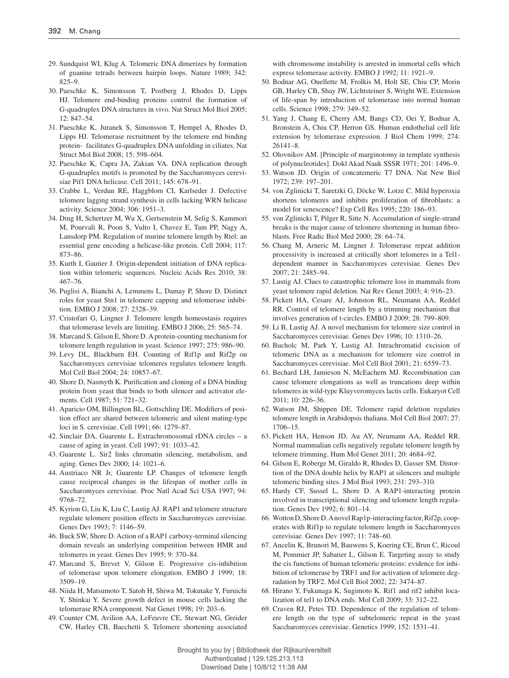- 29. Sundquist WI, Klug A. Telomeric DNA dimerizes by formation of guanine tetrads between hairpin loops. Nature 1989; 342:  $825 - 9.$
- 30. Paeschke K, Simonsson T, Postberg J, Rhodes D, Lipps HJ. Telomere end-binding proteins control the formation of G-quadruplex DNA structures in vivo. Nat Struct Mol Biol 2005; 12: 847-54.
- 31. Paeschke K, Juranek S, Simonsson T, Hempel A, Rhodes D, Lipps HJ. Telomerase recruitment by the telomere end binding protein- facilitates G-quadruplex DNA unfolding in ciliates. Nat Struct Mol Biol 2008; 15: 598-604.
- 32. Paeschke K, Capra JA, Zakian VA. DNA replication through G-quadruplex motifs is promoted by the Saccharomyces cerevisiae Pif1 DNA helicase. Cell 2011; 145: 678-91.
- 33. Crabbe L, Verdun RE, Haggblom CI, Karlseder J. Defective telomere lagging strand synthesis in cells lacking WRN helicase activity. Science 2004; 306: 1951-3.
- 34. Ding H, Schertzer M, Wu X, Gertsenstein M, Selig S, Kammori M, Pourvali R, Poon S, Vulto I, Chavez E, Tam PP, Nagy A, Lansdorp PM. Regulation of murine telomere length by Rtel: an essential gene encoding a helicase-like protein. Cell 2004; 117: 873-86.
- 35. Kurth I, Gautier J. Origin-dependent initiation of DNA replication within telomeric sequences. Nucleic Acids Res 2010; 38:  $467 - 76.$
- 36. Puglisi A, Bianchi A, Lemmens L, Damay P, Shore D. Distinct roles for yeast Stn1 in telomere capping and telomerase inhibition. EMBO J 2008; 27: 2328-39.
- 37. Cristofari G, Lingner J. Telomere length homeostasis requires that telomerase levels are limiting. EMBO J 2006; 25: 565-74.
- 38. Marcand S, Gilson E, Shore D. A protein-counting mechanism for telomere length regulation in yeast. Science 1997; 275: 986-90.
- 39. Levy DL, Blackburn EH. Counting of Rif1p and Rif2p on Saccharomyces cerevisiae telomeres regulates telomere length. Mol Cell Biol 2004; 24: 10857-67.
- 40. Shore D, Nasmyth K. Purification and cloning of a DNA binding protein from yeast that binds to both silencer and activator elements. Cell 1987; 51: 721-32.
- 41. Aparicio OM, Billington BL, Gottschling DE. Modifiers of position effect are shared between telomeric and silent mating-type loci in S. cerevisiae. Cell 1991; 66: 1279-87.
- 42. Sinclair DA, Guarente L. Extrachromosomal rDNA circles a cause of aging in yeast. Cell 1997; 91: 1033-42.
- 43. Guarente L. Sir2 links chromatin silencing, metabolism, and aging. Genes Dev 2000; 14: 1021-6.
- 44. Austriaco NR Jr, Guarente LP. Changes of telomere length cause reciprocal changes in the lifespan of mother cells in Saccharomyces cerevisiae. Proc Natl Acad Sci USA 1997; 94: 9768-72.
- 45. Kyrion G, Liu K, Liu C, Lustig AJ. RAP1 and telomere structure regulate telomere position effects in Saccharomyces cerevisiae. Genes Dev 1993; 7: 1146-59.
- 46. Buck SW, Shore D. Action of a RAP1 carboxy-terminal silencing domain reveals an underlying competition between HMR and telomeres in yeast. Genes Dev 1995; 9: 370-84.
- 47. Marcand S, Brevet V, Gilson E. Progressive cis-inhibition of telomerase upon telomere elongation. EMBO J 1999; 18: 3509-19.
- 48. Niida H, Matsumoto T, Satoh H, Shiwa M, Tokutake Y, Furuichi Y, Shinkai Y. Severe growth defect in mouse cells lacking the telomerase RNA component. Nat Genet 1998; 19: 203-6.
- 49. Counter CM, Avilion AA, LeFeuvre CE, Stewart NG, Greider CW, Harley CB, Bacchetti S. Telomere shortening associated

with chromosome instability is arrested in immortal cells which express telomerase activity. EMBO J 1992; 11: 1921-9.

- 50. Bodnar AG, Ouellette M, Frolkis M, Holt SE, Chiu CP, Morin GB, Harley CB, Shay JW, Lichtsteiner S, Wright WE. Extension of life-span by introduction of telomerase into normal human cells. Science 1998; 279: 349-52.
- 51. Yang J, Chang E, Cherry AM, Bangs CD, Oei Y, Bodnar A, Bronstein A, Chiu CP, Herron GS. Human endothelial cell life extension by telomerase expression. J Biol Chem 1999; 274:  $26141 - 8$ .
- 52. Olovnikov AM. [Principle of marginotomy in template synthesis of polynucleotides]. Dokl Akad Nauk SSSR 1971; 201: 1496-9.
- 53. Watson JD. Origin of concatemeric T7 DNA. Nat New Biol 1972; 239: 197-201.
- 54. von Zglinicki T, Saretzki G, Döcke W, Lotze C. Mild hyperoxia shortens telomeres and inhibits proliferation of fibroblasts: a model for senescence? Exp Cell Res 1995; 220: 186-93.
- 55. von Zglinicki T, Pilger R, Sitte N. Accumulation of single-strand breaks is the major cause of telomere shortening in human fibroblasts. Free Radic Biol Med 2000; 28: 64-74.
- 56. Chang M, Arneric M, Lingner J. Telomerase repeat addition processivity is increased at critically short telomeres in a Tel1 dependent manner in Saccharomyces cerevisiae. Genes Dev 2007; 21: 2485 – 94.
- 57. Lustig AJ. Clues to catastrophic telomere loss in mammals from yeast telomere rapid deletion. Nat Rev Genet 2003; 4: 916-23.
- 58. Pickett HA, Cesare AJ, Johnston RL, Neumann AA, Reddel RR. Control of telomere length by a trimming mechanism that involves generation of t-circles. EMBO J 2009; 28: 799-809.
- 59. Li B, Lustig AJ. A novel mechanism for telomere size control in Saccharomyces cerevisiae. Genes Dev 1996; 10: 1310-26.
- 60. Bucholc M, Park Y, Lustig AJ. Intrachromatid excision of telomeric DNA as a mechanism for telomere size control in Saccharomyces cerevisiae. Mol Cell Biol 2001; 21: 6559-73.
- 61. Bechard LH, Jamieson N, McEachern MJ. Recombination can cause telomere elongations as well as truncations deep within telomeres in wild-type Kluyveromyces lactis cells. Eukaryot Cell 2011; 10: 226 – 36.
- 62. Watson JM, Shippen DE. Telomere rapid deletion regulates telomere length in Arabidopsis thaliana. Mol Cell Biol 2007; 27: 1706 – 15.
- 63. Pickett HA, Henson JD, Au AY, Neumann AA, Reddel RR. Normal mammalian cells negatively regulate telomere length by telomere trimming. Hum Mol Genet 2011; 20: 4684–92.
- 64. Gilson E, Roberge M, Giraldo R, Rhodes D, Gasser SM. Distortion of the DNA double helix by RAP1 at silencers and multiple telomeric binding sites. J Mol Biol 1993; 231: 293-310.
- 65. Hardy CF, Sussel L, Shore D. A RAP1-interacting protein involved in transcriptional silencing and telomere length regulation. Genes Dev 1992; 6: 801-14.
- 66. Wotton D, Shore D. A novel Rap1p-interacting factor, Rif2p, cooperates with Rif1p to regulate telomere length in Saccharomyces cerevisiae. Genes Dev 1997; 11: 748-60.
- 67. Ancelin K, Brunori M, Bauwens S, Koering CE, Brun C, Ricoul M, Pommier JP, Sabatier L, Gilson E. Targeting assay to study the cis functions of human telomeric proteins: evidence for inhibition of telomerase by TRF1 and for activation of telomere degradation by TRF2. Mol Cell Biol 2002; 22: 3474-87.
- 68. Hirano Y, Fukunaga K, Sugimoto K. Rif1 and rif2 inhibit localization of tel1 to DNA ends. Mol Cell 2009; 33: 312-22.
- 69. Craven RJ, Petes TD. Dependence of the regulation of telomere length on the type of subtelomeric repeat in the yeast Saccharomyces cerevisiae. Genetics 1999; 152: 1531-41.